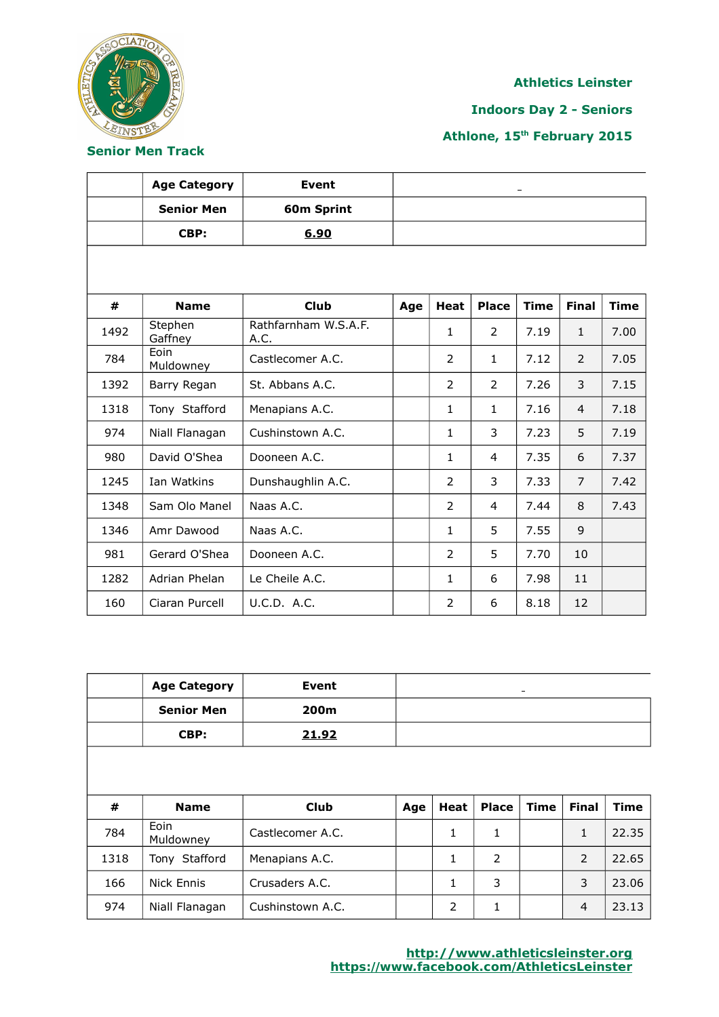

 $\overline{\phantom{a}}$ 

 $\mathsf{r}$ 

#### **Athletics Leinster**

**Indoors Day 2 - Seniors**

**Athlone, 15th February 2015**

**Senior Men Track**

|      | <b>Age Category</b> | <b>Event</b>                 |     |                |                |             |                |             |
|------|---------------------|------------------------------|-----|----------------|----------------|-------------|----------------|-------------|
|      | <b>Senior Men</b>   | 60m Sprint                   |     |                |                |             |                |             |
|      | CBP:                | 6.90                         |     |                |                |             |                |             |
|      |                     |                              |     |                |                |             |                |             |
| #    | <b>Name</b>         | <b>Club</b>                  | Age | <b>Heat</b>    | <b>Place</b>   | <b>Time</b> | <b>Final</b>   | <b>Time</b> |
| 1492 | Stephen<br>Gaffney  | Rathfarnham W.S.A.F.<br>A.C. |     | 1              | 2              | 7.19        | $\mathbf{1}$   | 7.00        |
| 784  | Eoin<br>Muldowney   | Castlecomer A.C.             |     | $\overline{2}$ | $\mathbf{1}$   | 7.12        | $\overline{2}$ | 7.05        |
| 1392 | Barry Regan         | St. Abbans A.C.              |     | $\overline{2}$ | $\overline{2}$ | 7.26        | 3              | 7.15        |
| 1318 | Tony Stafford       | Menapians A.C.               |     | $\mathbf{1}$   | $\mathbf{1}$   | 7.16        | $\overline{4}$ | 7.18        |
| 974  | Niall Flanagan      | Cushinstown A.C.             |     | $\mathbf{1}$   | 3              | 7.23        | 5              | 7.19        |
| 980  | David O'Shea        | Dooneen A.C.                 |     | $\mathbf{1}$   | 4              | 7.35        | 6              | 7.37        |
| 1245 | Ian Watkins         | Dunshaughlin A.C.            |     | $\overline{2}$ | 3              | 7.33        | $\overline{7}$ | 7.42        |
| 1348 | Sam Olo Manel       | Naas A.C.                    |     | 2              | 4              | 7.44        | 8              | 7.43        |
| 1346 | Amr Dawood          | Naas A.C.                    |     | $\mathbf{1}$   | 5              | 7.55        | 9              |             |
| 981  | Gerard O'Shea       | Dooneen A.C.                 |     | $\overline{2}$ | 5              | 7.70        | 10             |             |
| 1282 | Adrian Phelan       | Le Cheile A.C.               |     | $\mathbf{1}$   | 6              | 7.98        | 11             |             |
| 160  | Ciaran Purcell      | U.C.D. A.C.                  |     | 2              | 6              | 8.18        | 12             |             |

|      | <b>Age Category</b> | Event            |     |      |              | -           |                |             |
|------|---------------------|------------------|-----|------|--------------|-------------|----------------|-------------|
|      | <b>Senior Men</b>   | 200m             |     |      |              |             |                |             |
|      | CBP:                | 21.92            |     |      |              |             |                |             |
|      |                     |                  |     |      |              |             |                |             |
|      |                     |                  |     |      |              |             |                |             |
|      |                     |                  |     |      |              |             |                |             |
| #    | <b>Name</b>         | <b>Club</b>      | Age | Heat | <b>Place</b> | <b>Time</b> | <b>Final</b>   | <b>Time</b> |
| 784  | Eoin<br>Muldowney   | Castlecomer A.C. |     | 1    | 1            |             | $\mathbf{1}$   | 22.35       |
| 1318 | Tony Stafford       | Menapians A.C.   |     | 1    | 2            |             | $\overline{2}$ | 22.65       |
| 166  | Nick Ennis          | Crusaders A.C.   |     | 1    | 3            |             | 3              | 23.06       |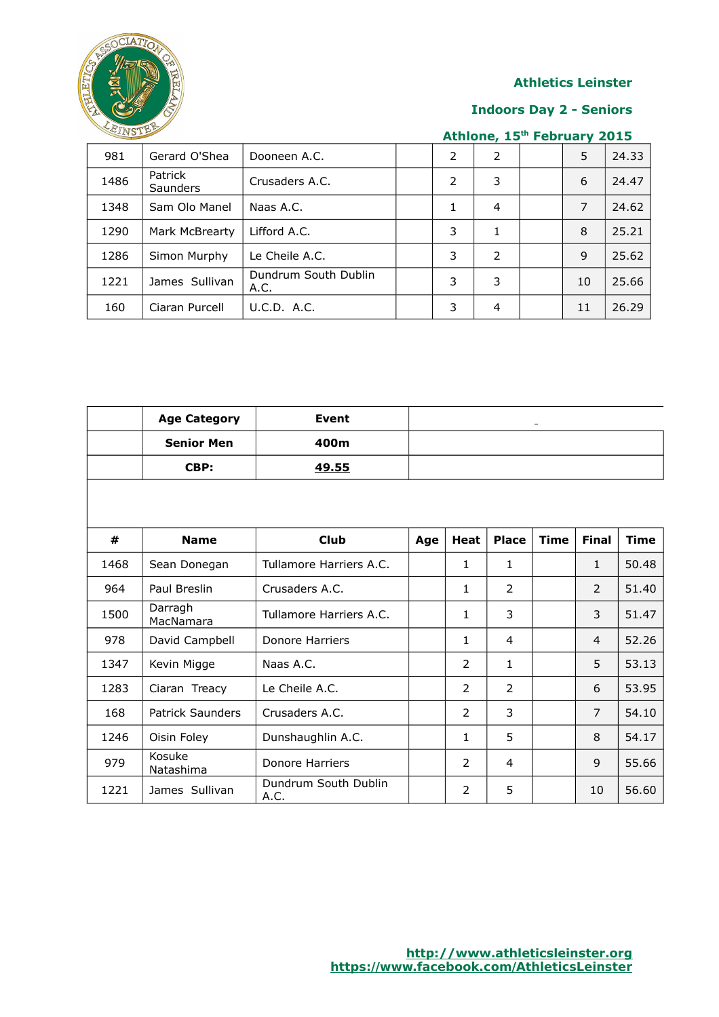

#### **Indoors Day 2 - Seniors**

| Athlone, 15 <sup>th</sup> February 2015 |  |  |  |  |
|-----------------------------------------|--|--|--|--|
|-----------------------------------------|--|--|--|--|

| 981  | Gerard O'Shea              | Dooneen A.C.                 | 2 | 2             | 5  | 24.33 |
|------|----------------------------|------------------------------|---|---------------|----|-------|
| 1486 | Patrick<br><b>Saunders</b> | Crusaders A.C.               | 2 | 3             | 6  | 24.47 |
| 1348 | Sam Olo Manel              | Naas A.C.                    | 1 | 4             | 7  | 24.62 |
| 1290 | Mark McBrearty             | Lifford A.C.                 | 3 | 1             | 8  | 25.21 |
| 1286 | Simon Murphy               | Le Cheile A.C.               | 3 | $\mathcal{P}$ | 9  | 25.62 |
| 1221 | James Sullivan             | Dundrum South Dublin<br>A.C. | 3 | 3             | 10 | 25.66 |
| 160  | Ciaran Purcell             | U.C.D. A.C.                  | 3 | 4             | 11 | 26.29 |

|      | <b>Age Category</b>     | <b>Event</b>                 |     |                |                |             |                |             |
|------|-------------------------|------------------------------|-----|----------------|----------------|-------------|----------------|-------------|
|      | <b>Senior Men</b>       | 400m                         |     |                |                |             |                |             |
|      | CBP:                    | 49.55                        |     |                |                |             |                |             |
|      |                         |                              |     |                |                |             |                |             |
|      |                         |                              |     |                |                |             |                |             |
| #    | <b>Name</b>             | <b>Club</b>                  | Age | <b>Heat</b>    | <b>Place</b>   | <b>Time</b> | <b>Final</b>   | <b>Time</b> |
| 1468 | Sean Donegan            | Tullamore Harriers A.C.      |     | $\mathbf{1}$   | $\mathbf{1}$   |             | $\mathbf{1}$   | 50.48       |
| 964  | Paul Breslin            | Crusaders A.C.               |     | $\mathbf{1}$   | 2              |             | $\mathcal{P}$  | 51.40       |
| 1500 | Darragh<br>MacNamara    | Tullamore Harriers A.C.      |     | $\mathbf{1}$   | 3              |             | 3              | 51.47       |
| 978  | David Campbell          | Donore Harriers              |     | $\mathbf{1}$   | $\overline{4}$ |             | $\overline{4}$ | 52.26       |
| 1347 | Kevin Migge             | Naas A.C.                    |     | $\overline{2}$ | $\mathbf{1}$   |             | 5              | 53.13       |
| 1283 | Ciaran Treacy           | Le Cheile A.C.               |     | $\overline{2}$ | 2              |             | 6              | 53.95       |
| 168  | <b>Patrick Saunders</b> | Crusaders A.C.               |     | $\overline{2}$ | 3              |             | $\overline{7}$ | 54.10       |
| 1246 | Oisin Foley             | Dunshaughlin A.C.            |     | 1              | 5              |             | 8              | 54.17       |
| 979  | Kosuke<br>Natashima     | <b>Donore Harriers</b>       |     | $\mathcal{P}$  | $\overline{4}$ |             | 9              | 55.66       |
| 1221 | James Sullivan          | Dundrum South Dublin<br>A.C. |     | $\overline{2}$ | 5              |             | 10             | 56.60       |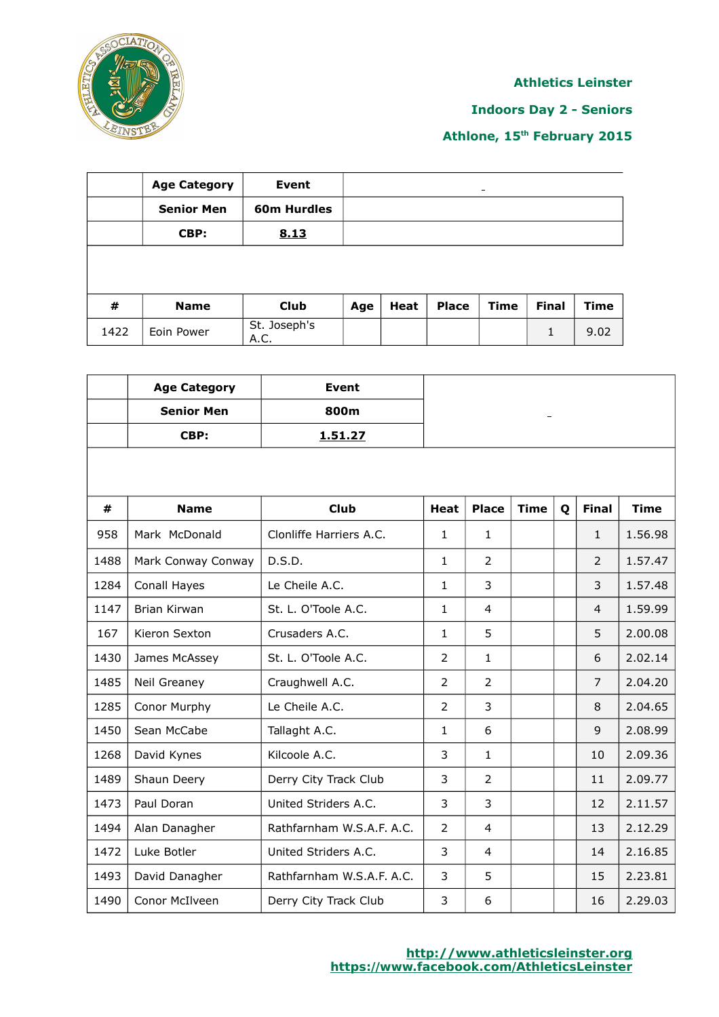

**Indoors Day 2 - Seniors**

|      | <b>Age Category</b> | <b>Event</b>         |     |      |              | -           |              |             |
|------|---------------------|----------------------|-----|------|--------------|-------------|--------------|-------------|
|      | <b>Senior Men</b>   | 60m Hurdles          |     |      |              |             |              |             |
|      | CBP:                | 8.13                 |     |      |              |             |              |             |
|      |                     |                      |     |      |              |             |              |             |
|      |                     |                      |     |      |              |             |              |             |
| #    | <b>Name</b>         | Club                 | Age | Heat | <b>Place</b> | <b>Time</b> | <b>Final</b> | <b>Time</b> |
| 1422 | Eoin Power          | St. Joseph's<br>A.C. |     |      |              |             | 1            | 9.02        |

|      | <b>Age Category</b> | <b>Event</b>              |                |                |             |   |                |             |
|------|---------------------|---------------------------|----------------|----------------|-------------|---|----------------|-------------|
|      | <b>Senior Men</b>   | 800m                      |                |                |             |   |                |             |
|      | CBP:                | 1.51.27                   |                |                |             |   |                |             |
|      |                     |                           |                |                |             |   |                |             |
| #    | <b>Name</b>         | <b>Club</b>               | <b>Heat</b>    | <b>Place</b>   | <b>Time</b> | Q | <b>Final</b>   | <b>Time</b> |
| 958  | Mark McDonald       | Clonliffe Harriers A.C.   | 1              | $\mathbf{1}$   |             |   | $\mathbf{1}$   | 1.56.98     |
| 1488 | Mark Conway Conway  | D.S.D.                    | 1              | $\overline{2}$ |             |   | $\overline{2}$ | 1.57.47     |
| 1284 | Conall Hayes        | Le Cheile A.C.            | $\mathbf{1}$   | 3              |             |   | 3              | 1.57.48     |
| 1147 | Brian Kirwan        | St. L. O'Toole A.C.       | 1              | $\overline{4}$ |             |   | 4              | 1.59.99     |
| 167  | Kieron Sexton       | Crusaders A.C.            | $\mathbf{1}$   | 5              |             |   | 5              | 2.00.08     |
| 1430 | James McAssey       | St. L. O'Toole A.C.       | $\overline{2}$ | $\mathbf{1}$   |             |   | 6              | 2.02.14     |
| 1485 | Neil Greaney        | Craughwell A.C.           | 2              | $\overline{2}$ |             |   | 7              | 2.04.20     |
| 1285 | Conor Murphy        | Le Cheile A.C.            | $\overline{2}$ | 3              |             |   | 8              | 2.04.65     |
| 1450 | Sean McCabe         | Tallaght A.C.             | $\mathbf{1}$   | 6              |             |   | 9              | 2.08.99     |
| 1268 | David Kynes         | Kilcoole A.C.             | 3              | $\mathbf{1}$   |             |   | 10             | 2.09.36     |
| 1489 | Shaun Deery         | Derry City Track Club     | 3              | $\overline{2}$ |             |   | 11             | 2.09.77     |
| 1473 | Paul Doran          | United Striders A.C.      | 3              | 3              |             |   | 12             | 2.11.57     |
| 1494 | Alan Danagher       | Rathfarnham W.S.A.F. A.C. | 2              | $\overline{4}$ |             |   | 13             | 2.12.29     |
| 1472 | Luke Botler         | United Striders A.C.      | 3              | $\overline{4}$ |             |   | 14             | 2.16.85     |
| 1493 | David Danagher      | Rathfarnham W.S.A.F. A.C. | 3              | 5              |             |   | 15             | 2.23.81     |
| 1490 | Conor McIlveen      | Derry City Track Club     | 3              | 6              |             |   | 16             | 2.29.03     |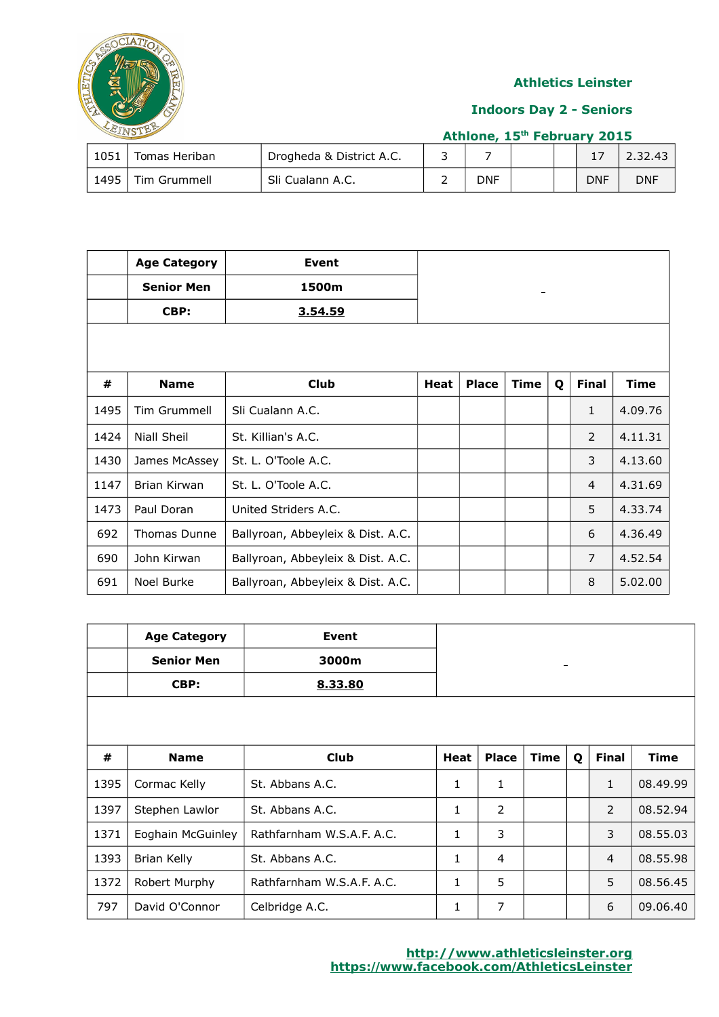

## **Indoors Day 2 - Seniors**

|  | Athlone, 15th February 2015 |  |
|--|-----------------------------|--|
|  |                             |  |

| 1051 | Tomas Heriban | Drogheda & District A.C. |     |  | ∸ /        | 2.32.43    |
|------|---------------|--------------------------|-----|--|------------|------------|
| 1495 | Tim Grummell  | Sli Cualann A.C.         | DNF |  | <b>DNF</b> | <b>DNF</b> |

|      | <b>Age Category</b> | <b>Event</b>                      |             |              |      |   |                |         |
|------|---------------------|-----------------------------------|-------------|--------------|------|---|----------------|---------|
|      | <b>Senior Men</b>   | 1500m                             |             |              |      |   |                |         |
|      | CBP:                | <u>3.54.59</u>                    |             |              |      |   |                |         |
|      |                     |                                   |             |              |      |   |                |         |
|      |                     |                                   |             |              |      |   |                |         |
| #    | <b>Name</b>         | <b>Club</b>                       | <b>Heat</b> | <b>Place</b> | Time | Q | <b>Final</b>   | Time    |
| 1495 | Tim Grummell        | Sli Cualann A.C.                  |             |              |      |   | 1              | 4.09.76 |
| 1424 | <b>Niall Sheil</b>  | St. Killian's A.C.                |             |              |      |   | 2              | 4.11.31 |
| 1430 | James McAssey       | St. L. O'Toole A.C.               |             |              |      |   | 3              | 4.13.60 |
| 1147 | Brian Kirwan        | St. L. O'Toole A.C.               |             |              |      |   | 4              | 4.31.69 |
| 1473 | Paul Doran          | United Striders A.C.              |             |              |      |   | 5              | 4.33.74 |
| 692  | <b>Thomas Dunne</b> | Ballyroan, Abbeyleix & Dist. A.C. |             |              |      |   | 6              | 4.36.49 |
| 690  | John Kirwan         | Ballyroan, Abbeyleix & Dist. A.C. |             |              |      |   | $\overline{7}$ | 4.52.54 |
| 691  | Noel Burke          | Ballyroan, Abbeyleix & Dist. A.C. |             |              |      |   | 8              | 5.02.00 |

|      | <b>Age Category</b> | Event                     |              |                |             |   |                |          |
|------|---------------------|---------------------------|--------------|----------------|-------------|---|----------------|----------|
|      | <b>Senior Men</b>   | 3000m                     |              |                |             |   |                |          |
|      | CBP:                | 8.33.80                   |              |                |             |   |                |          |
|      |                     |                           |              |                |             |   |                |          |
|      |                     |                           |              |                |             |   |                |          |
| #    | <b>Name</b>         | <b>Club</b>               | Heat         | <b>Place</b>   | <b>Time</b> | Q | <b>Final</b>   | Time     |
| 1395 | Cormac Kelly        | St. Abbans A.C.           | 1            | 1              |             |   | 1              | 08.49.99 |
| 1397 | Stephen Lawlor      | St. Abbans A.C.           | 1            | 2              |             |   | $\overline{2}$ | 08.52.94 |
| 1371 | Eoghain McGuinley   | Rathfarnham W.S.A.F. A.C. | 1            | 3              |             |   | 3              | 08.55.03 |
| 1393 | Brian Kelly         | St. Abbans A.C.           | $\mathbf{1}$ | $\overline{4}$ |             |   | $\overline{4}$ | 08.55.98 |
| 1372 | Robert Murphy       | Rathfarnham W.S.A.F. A.C. | 1            | 5              |             |   | 5              | 08.56.45 |
| 797  | David O'Connor      | Celbridge A.C.            | 1            | 7              |             |   | 6              | 09.06.40 |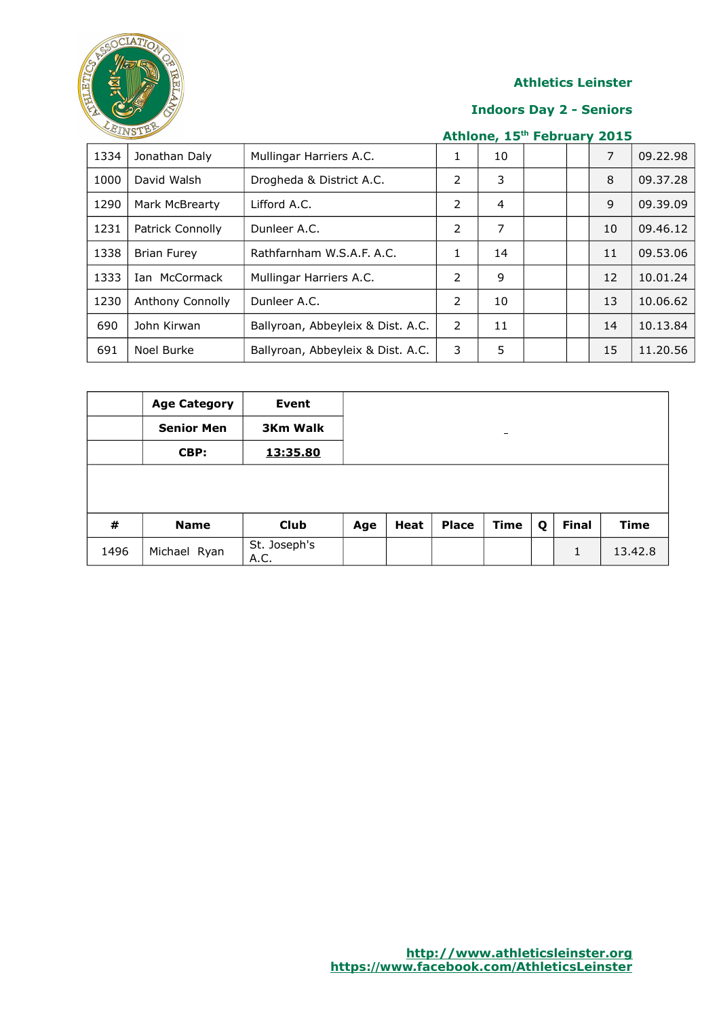

#### **Indoors Day 2 - Seniors**

| 1334 | Jonathan Daly    | Mullingar Harriers A.C.           | 1              | 10             |  | $\overline{7}$ | 09.22.98 |
|------|------------------|-----------------------------------|----------------|----------------|--|----------------|----------|
| 1000 | David Walsh      | Drogheda & District A.C.          | 2              | 3              |  | 8              | 09.37.28 |
| 1290 | Mark McBrearty   | Lifford A.C.                      | $\overline{2}$ | $\overline{4}$ |  | 9              | 09.39.09 |
| 1231 | Patrick Connolly | Dunleer A.C.                      | 2              | 7              |  | 10             | 09.46.12 |
| 1338 | Brian Furey      | Rathfarnham W.S.A.F. A.C.         | 1              | 14             |  | 11             | 09.53.06 |
| 1333 | Ian McCormack    | Mullingar Harriers A.C.           | $\mathcal{P}$  | 9              |  | 12             | 10.01.24 |
| 1230 | Anthony Connolly | Dunleer A.C.                      | $\mathcal{P}$  | 10             |  | 13             | 10.06.62 |
| 690  | John Kirwan      | Ballyroan, Abbeyleix & Dist. A.C. | 2              | 11             |  | 14             | 10.13.84 |
| 691  | Noel Burke       | Ballyroan, Abbeyleix & Dist. A.C. | 3              | 5              |  | 15             | 11.20.56 |

|      | <b>Age Category</b> | <b>Event</b>         |     |      |              |             |   |              |             |
|------|---------------------|----------------------|-----|------|--------------|-------------|---|--------------|-------------|
|      | <b>Senior Men</b>   | <b>3Km Walk</b>      |     |      |              | -           |   |              |             |
|      | CBP:                | 13:35.80             |     |      |              |             |   |              |             |
|      |                     |                      |     |      |              |             |   |              |             |
|      |                     |                      |     |      |              |             |   |              |             |
| #    | <b>Name</b>         | <b>Club</b>          | Age | Heat | <b>Place</b> | <b>Time</b> | Q | <b>Final</b> | <b>Time</b> |
| 1496 | Michael Ryan        | St. Joseph's<br>A.C. |     |      |              |             |   | 1            | 13.42.8     |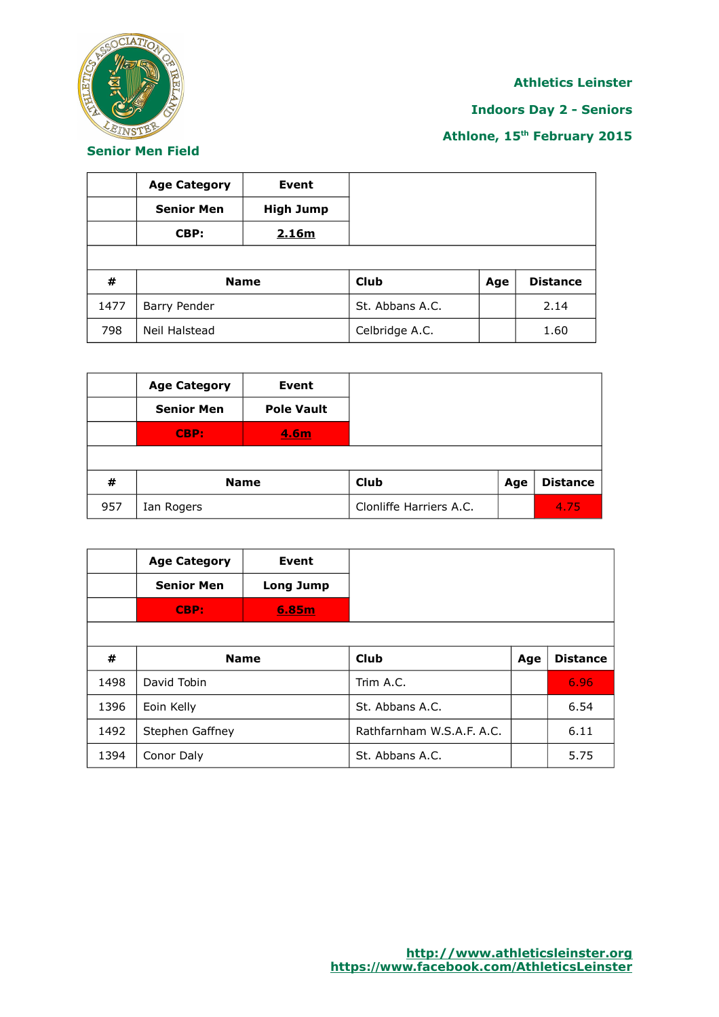

#### **Indoors Day 2 - Seniors**

## **Athlone, 15th February 2015**

**Senior Men Field**

|      | <b>Age Category</b>                   | Event |                 |     |                 |
|------|---------------------------------------|-------|-----------------|-----|-----------------|
|      | <b>Senior Men</b><br><b>High Jump</b> |       |                 |     |                 |
|      | CBP:                                  | 2.16m |                 |     |                 |
|      |                                       |       |                 |     |                 |
| #    | <b>Name</b>                           |       | <b>Club</b>     | Age | <b>Distance</b> |
| 1477 | Barry Pender                          |       | St. Abbans A.C. |     | 2.14            |
| 798  | Neil Halstead                         |       | Celbridge A.C.  |     | 1.60            |

|     | <b>Age Category</b> | Event             |                         |     |                 |
|-----|---------------------|-------------------|-------------------------|-----|-----------------|
|     | <b>Senior Men</b>   | <b>Pole Vault</b> |                         |     |                 |
|     | CBP:                | 4.6m              |                         |     |                 |
|     |                     |                   |                         |     |                 |
| #   | <b>Name</b>         |                   | <b>Club</b>             | Age | <b>Distance</b> |
| 957 | Ian Rogers          |                   | Clonliffe Harriers A.C. |     | 4.75            |

|      | <b>Age Category</b> | Event     |                           |     |                 |
|------|---------------------|-----------|---------------------------|-----|-----------------|
|      | <b>Senior Men</b>   | Long Jump |                           |     |                 |
|      | CBP:                | 6.85m     |                           |     |                 |
|      |                     |           |                           |     |                 |
| #    | <b>Name</b>         |           | <b>Club</b>               | Age | <b>Distance</b> |
| 1498 | David Tobin         |           | Trim A.C.                 |     | 6.96            |
| 1396 | Eoin Kelly          |           | St. Abbans A.C.           |     | 6.54            |
| 1492 | Stephen Gaffney     |           | Rathfarnham W.S.A.F. A.C. |     | 6.11            |
| 1394 | Conor Daly          |           | St. Abbans A.C.           |     | 5.75            |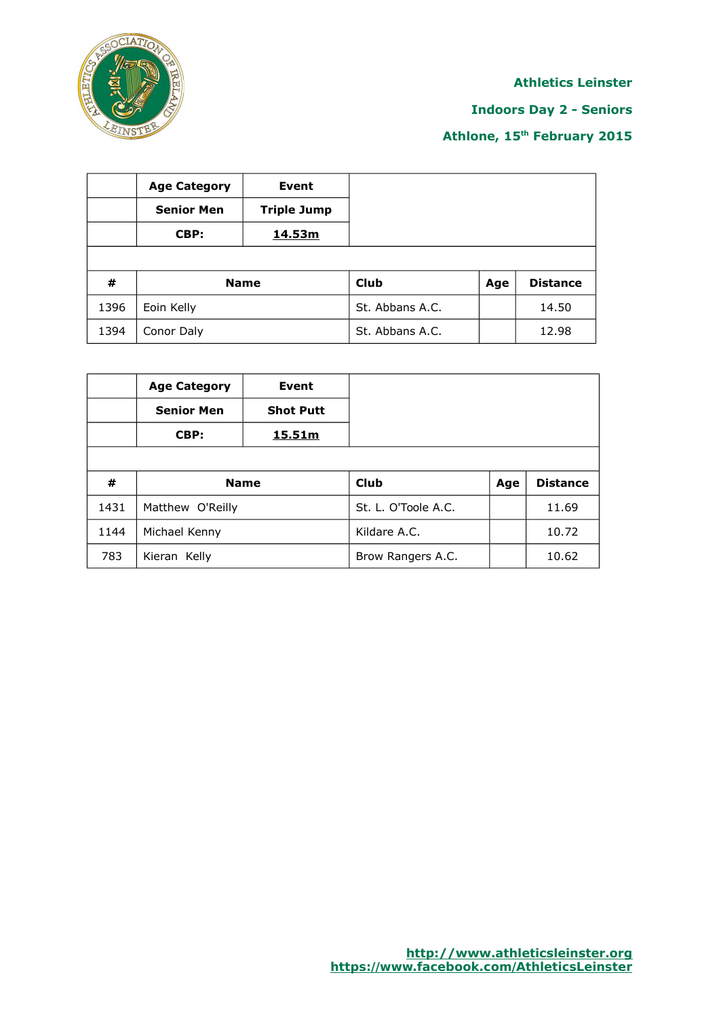

### **Indoors Day 2 - Seniors**

|      | <b>Age Category</b> | Event              |                 |     |                 |
|------|---------------------|--------------------|-----------------|-----|-----------------|
|      | <b>Senior Men</b>   | <b>Triple Jump</b> |                 |     |                 |
|      | CBP:                | 14.53m             |                 |     |                 |
|      |                     |                    |                 |     |                 |
| #    | <b>Name</b>         |                    | <b>Club</b>     | Age | <b>Distance</b> |
| 1396 | Eoin Kelly          |                    | St. Abbans A.C. |     | 14.50           |
| 1394 | Conor Daly          |                    | St. Abbans A.C. |     | 12.98           |

|      | <b>Age Category</b><br><b>Senior Men</b><br>CBP: | Event<br><b>Shot Putt</b><br><u>15.51m</u> |                     |     |                 |
|------|--------------------------------------------------|--------------------------------------------|---------------------|-----|-----------------|
| #    | <b>Name</b>                                      |                                            | <b>Club</b>         | Age | <b>Distance</b> |
| 1431 | Matthew O'Reilly                                 |                                            | St. L. O'Toole A.C. |     | 11.69           |
| 1144 | Michael Kenny                                    |                                            | Kildare A.C.        |     | 10.72           |
| 783  | Kieran Kelly                                     |                                            | Brow Rangers A.C.   |     | 10.62           |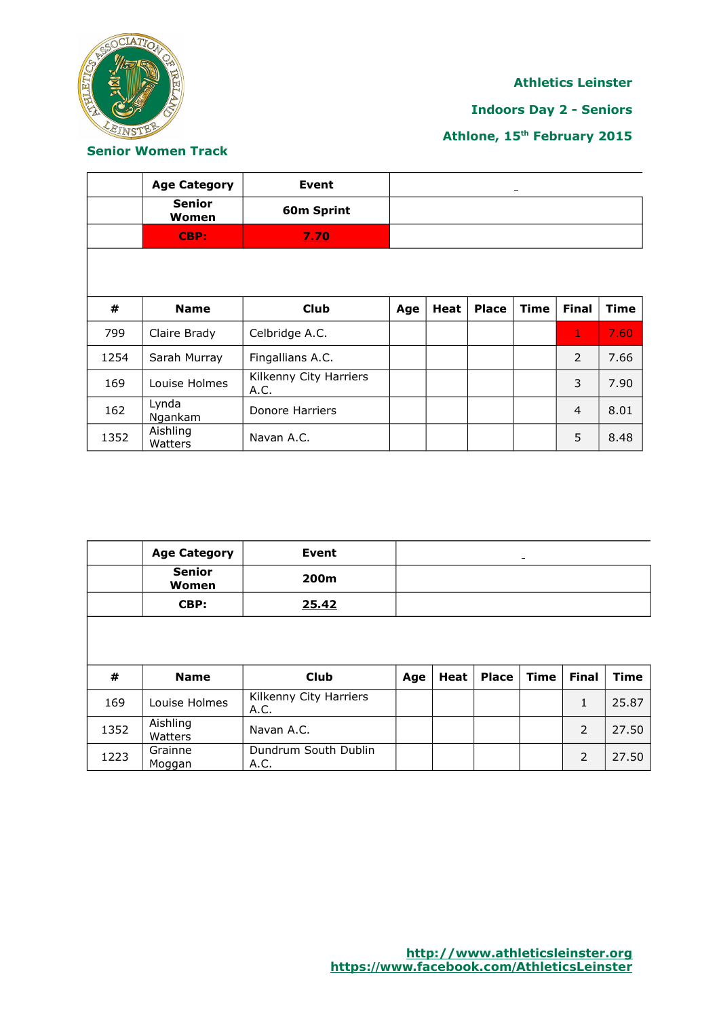

#### **Athletics Leinster**

**Indoors Day 2 - Seniors**

**Athlone, 15th February 2015**

#### **Senior Women Track**

|      | <b>Age Category</b>    | Event                          |     |             |              | -           |                |             |
|------|------------------------|--------------------------------|-----|-------------|--------------|-------------|----------------|-------------|
|      | <b>Senior</b><br>Women | 60m Sprint                     |     |             |              |             |                |             |
|      | CBP:                   | 7.70                           |     |             |              |             |                |             |
|      |                        |                                |     |             |              |             |                |             |
|      |                        |                                |     |             |              |             |                |             |
| #    | <b>Name</b>            | <b>Club</b>                    | Age | <b>Heat</b> | <b>Place</b> | <b>Time</b> | <b>Final</b>   | <b>Time</b> |
| 799  | Claire Brady           | Celbridge A.C.                 |     |             |              |             | 1              | 7.60        |
| 1254 | Sarah Murray           | Fingallians A.C.               |     |             |              |             | 2              | 7.66        |
| 169  | Louise Holmes          | Kilkenny City Harriers<br>A.C. |     |             |              |             | 3              | 7.90        |
| 162  | Lynda<br>Ngankam       | Donore Harriers                |     |             |              |             | $\overline{4}$ | 8.01        |
| 1352 | Aishling<br>Watters    | Navan A.C.                     |     |             |              |             | 5              | 8.48        |

|      | <b>Age Category</b>           | Event                          |     |      |              | $\qquad \qquad$ |              |             |
|------|-------------------------------|--------------------------------|-----|------|--------------|-----------------|--------------|-------------|
|      | <b>Senior</b><br><b>Women</b> | 200m                           |     |      |              |                 |              |             |
|      | CBP:                          | 25.42                          |     |      |              |                 |              |             |
|      |                               |                                |     |      |              |                 |              |             |
|      |                               |                                |     |      |              |                 |              |             |
| #    | <b>Name</b>                   | <b>Club</b>                    | Age | Heat | <b>Place</b> | <b>Time</b>     | <b>Final</b> | <b>Time</b> |
| 169  | Louise Holmes                 | Kilkenny City Harriers<br>A.C. |     |      |              |                 | 1            | 25.87       |
| 1352 | Aishling<br>Watters           | Navan A.C.                     |     |      |              |                 | 2            | 27.50       |
| 1223 | Grainne                       | Dundrum South Dublin           |     |      |              |                 | 2            | 27.50       |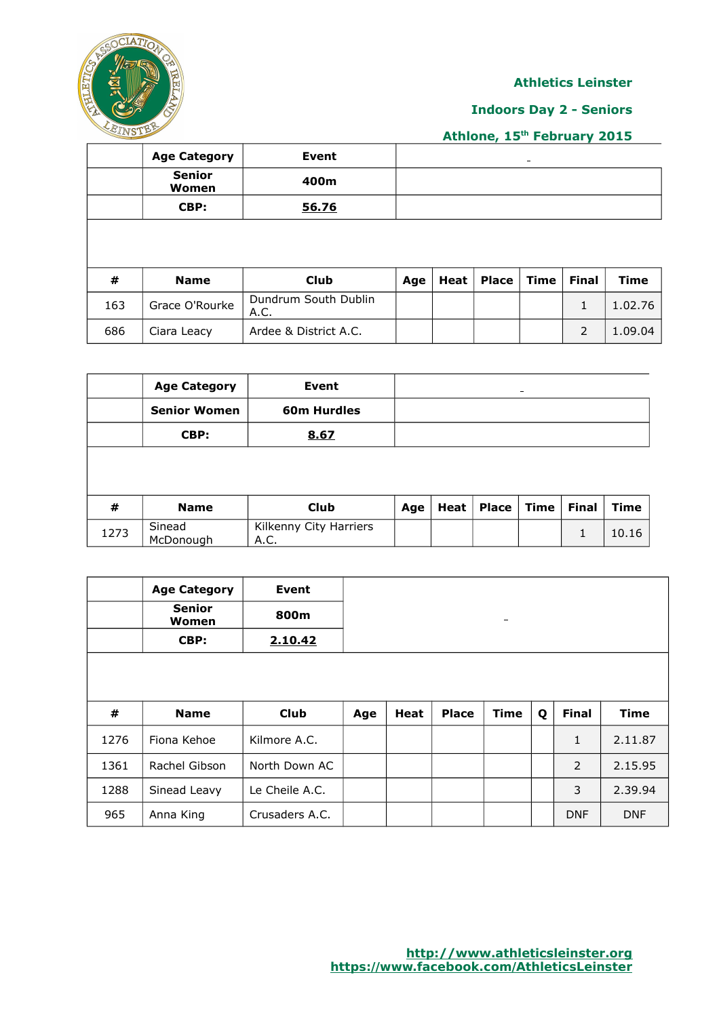

#### **Indoors Day 2 - Seniors**

# **Athlone, 15th February 2015**

|     | <b>Age Category</b>    | Event                        |     |      |       | $\qquad \qquad$ |              |             |
|-----|------------------------|------------------------------|-----|------|-------|-----------------|--------------|-------------|
|     | <b>Senior</b><br>Women | 400m                         |     |      |       |                 |              |             |
|     | CBP:                   | 56.76                        |     |      |       |                 |              |             |
|     |                        |                              |     |      |       |                 |              |             |
| #   | <b>Name</b>            | Club                         | Age | Heat | Place | Time            | <b>Final</b> | <b>Time</b> |
| 163 | Grace O'Rourke         | Dundrum South Dublin<br>A.C. |     |      |       |                 | 1            | 1.02.76     |

686 | Ciara Leacy | Ardee & District A.C. | | | | | | | | | | | | 1.09.04

|      | <b>Age Category</b> | Event                          |     |      |              | -           |              |             |
|------|---------------------|--------------------------------|-----|------|--------------|-------------|--------------|-------------|
|      | <b>Senior Women</b> | <b>60m Hurdles</b>             |     |      |              |             |              |             |
|      | CBP:                | 8.67                           |     |      |              |             |              |             |
|      |                     |                                |     |      |              |             |              |             |
|      |                     |                                |     |      |              |             |              |             |
| #    | <b>Name</b>         | <b>Club</b>                    | Age | Heat | <b>Place</b> | <b>Time</b> | <b>Final</b> | <b>Time</b> |
| 1273 | Sinead<br>McDonough | Kilkenny City Harriers<br>A.C. |     |      |              |             |              | 10.16       |

|      | <b>Age Category</b>    | Event          |     |      |              |                          |   |              |             |
|------|------------------------|----------------|-----|------|--------------|--------------------------|---|--------------|-------------|
|      | <b>Senior</b><br>Women | 800m           |     |      |              | $\overline{\phantom{m}}$ |   |              |             |
|      | CBP:                   | 2.10.42        |     |      |              |                          |   |              |             |
|      |                        |                |     |      |              |                          |   |              |             |
|      |                        |                |     |      |              |                          |   |              |             |
| #    | <b>Name</b>            | <b>Club</b>    | Age | Heat | <b>Place</b> | <b>Time</b>              | Q | <b>Final</b> | <b>Time</b> |
| 1276 | Fiona Kehoe            | Kilmore A.C.   |     |      |              |                          |   | $\mathbf{1}$ | 2.11.87     |
| 1361 | Rachel Gibson          | North Down AC  |     |      |              |                          |   | 2            | 2.15.95     |
| 1288 | Sinead Leavy           | Le Cheile A.C. |     |      |              |                          |   | 3            | 2.39.94     |
| 965  | Anna King              | Crusaders A.C. |     |      |              |                          |   | <b>DNF</b>   | <b>DNF</b>  |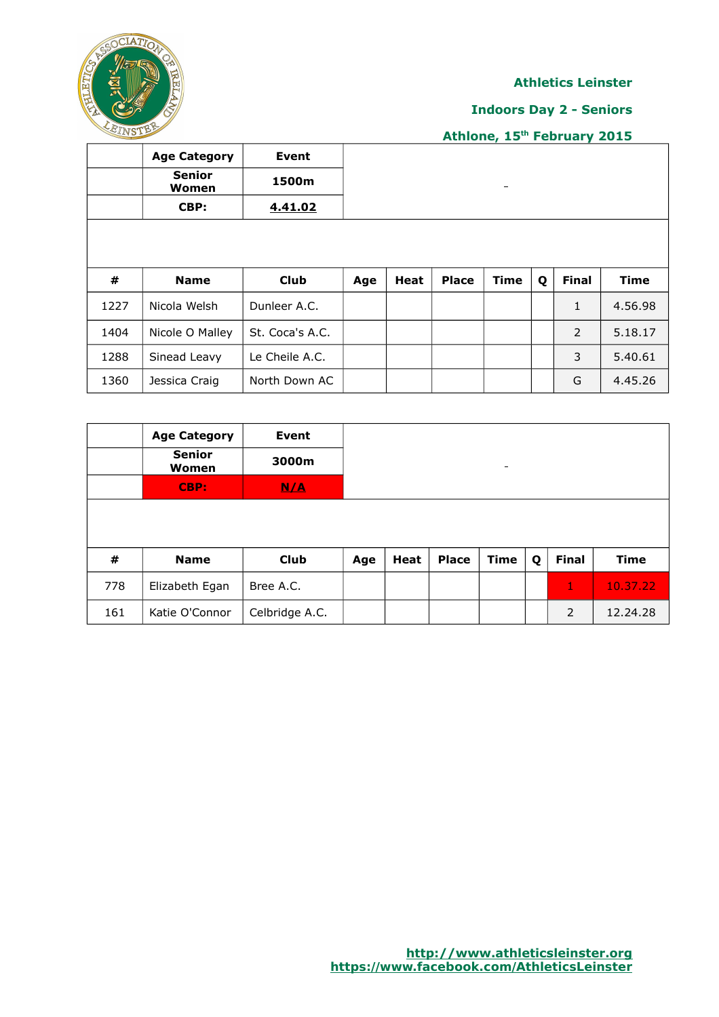

#### **Indoors Day 2 - Seniors**

|      | <b>Age Category</b>    | Event           |     |      |              |             |   |              |             |
|------|------------------------|-----------------|-----|------|--------------|-------------|---|--------------|-------------|
|      | <b>Senior</b><br>Women | 1500m           |     |      |              | -           |   |              |             |
|      | CBP:                   | 4.41.02         |     |      |              |             |   |              |             |
|      |                        |                 |     |      |              |             |   |              |             |
|      |                        |                 |     |      |              |             |   |              |             |
| #    | <b>Name</b>            | <b>Club</b>     | Age | Heat | <b>Place</b> | <b>Time</b> | Q | <b>Final</b> | <b>Time</b> |
| 1227 | Nicola Welsh           | Dunleer A.C.    |     |      |              |             |   | 1            | 4.56.98     |
| 1404 | Nicole O Malley        | St. Coca's A.C. |     |      |              |             |   | 2            | 5.18.17     |
| 1288 | Sinead Leavy           | Le Cheile A.C.  |     |      |              |             |   | 3            | 5.40.61     |
|      |                        |                 |     |      |              |             |   |              |             |

|     | <b>Age Category</b><br><b>Senior</b> | Event          |     |      |              |                   |   |              |             |
|-----|--------------------------------------|----------------|-----|------|--------------|-------------------|---|--------------|-------------|
|     | Women                                | 3000m          |     |      |              | $\qquad \qquad -$ |   |              |             |
|     | CBP:                                 | N/A            |     |      |              |                   |   |              |             |
|     |                                      |                |     |      |              |                   |   |              |             |
| #   | <b>Name</b>                          | <b>Club</b>    | Age | Heat | <b>Place</b> | <b>Time</b>       | Q | <b>Final</b> | <b>Time</b> |
| 778 | Elizabeth Egan                       | Bree A.C.      |     |      |              |                   |   | Ι.           | 10.37.22    |
| 161 | Katie O'Connor                       | Celbridge A.C. |     |      |              |                   |   | 2            | 12.24.28    |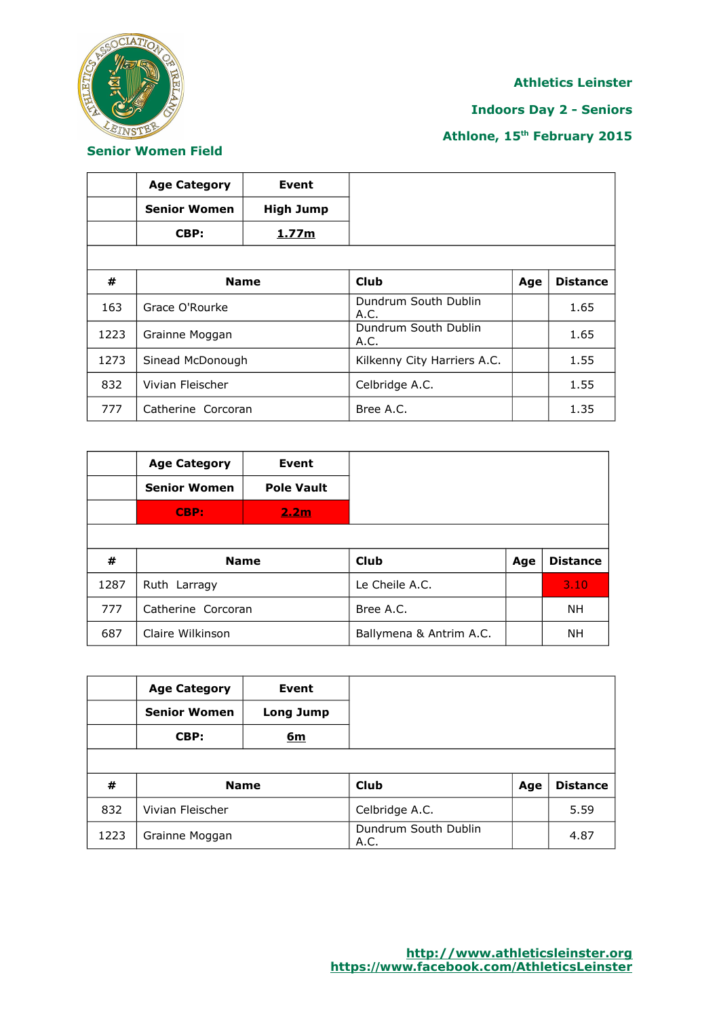

#### **Indoors Day 2 - Seniors**

|      | <b>Age Category</b> | <b>Event</b>      |                              |     |                 |
|------|---------------------|-------------------|------------------------------|-----|-----------------|
|      | <b>Senior Women</b> | <b>High Jump</b>  |                              |     |                 |
|      | CBP:                | 1.77 <sub>m</sub> |                              |     |                 |
|      |                     |                   |                              |     |                 |
| #    |                     | <b>Name</b>       | Club                         | Age | <b>Distance</b> |
| 163  | Grace O'Rourke      |                   | Dundrum South Dublin<br>A.C. |     | 1.65            |
| 1223 | Grainne Moggan      |                   | Dundrum South Dublin<br>A.C. |     | 1.65            |
| 1273 | Sinead McDonough    |                   | Kilkenny City Harriers A.C.  |     | 1.55            |
| 832  | Vivian Fleischer    |                   | Celbridge A.C.               |     | 1.55            |
| 777  | Catherine Corcoran  |                   | Bree A.C.                    |     | 1.35            |

|      | <b>Age Category</b> | Event             |                         |     |                 |
|------|---------------------|-------------------|-------------------------|-----|-----------------|
|      | <b>Senior Women</b> | <b>Pole Vault</b> |                         |     |                 |
|      | CBP:                | 2.2 <sub>m</sub>  |                         |     |                 |
|      |                     |                   |                         |     |                 |
| #    | <b>Name</b>         |                   | Club                    | Age | <b>Distance</b> |
| 1287 | Ruth Larragy        |                   | Le Cheile A.C.          |     | 3.10            |
| 777  | Catherine Corcoran  |                   | Bree A.C.               |     | <b>NH</b>       |
| 687  | Claire Wilkinson    |                   | Ballymena & Antrim A.C. |     | <b>NH</b>       |

|      | <b>Age Category</b> | Event     |                              |     |                 |  |  |  |
|------|---------------------|-----------|------------------------------|-----|-----------------|--|--|--|
|      | <b>Senior Women</b> | Long Jump |                              |     |                 |  |  |  |
|      | CBP:                | <u>6m</u> |                              |     |                 |  |  |  |
|      |                     |           |                              |     |                 |  |  |  |
| #    | <b>Name</b>         |           | Club                         | Age | <b>Distance</b> |  |  |  |
| 832  | Vivian Fleischer    |           | Celbridge A.C.               |     | 5.59            |  |  |  |
| 1223 | Grainne Moggan      |           | Dundrum South Dublin<br>A.C. |     | 4.87            |  |  |  |